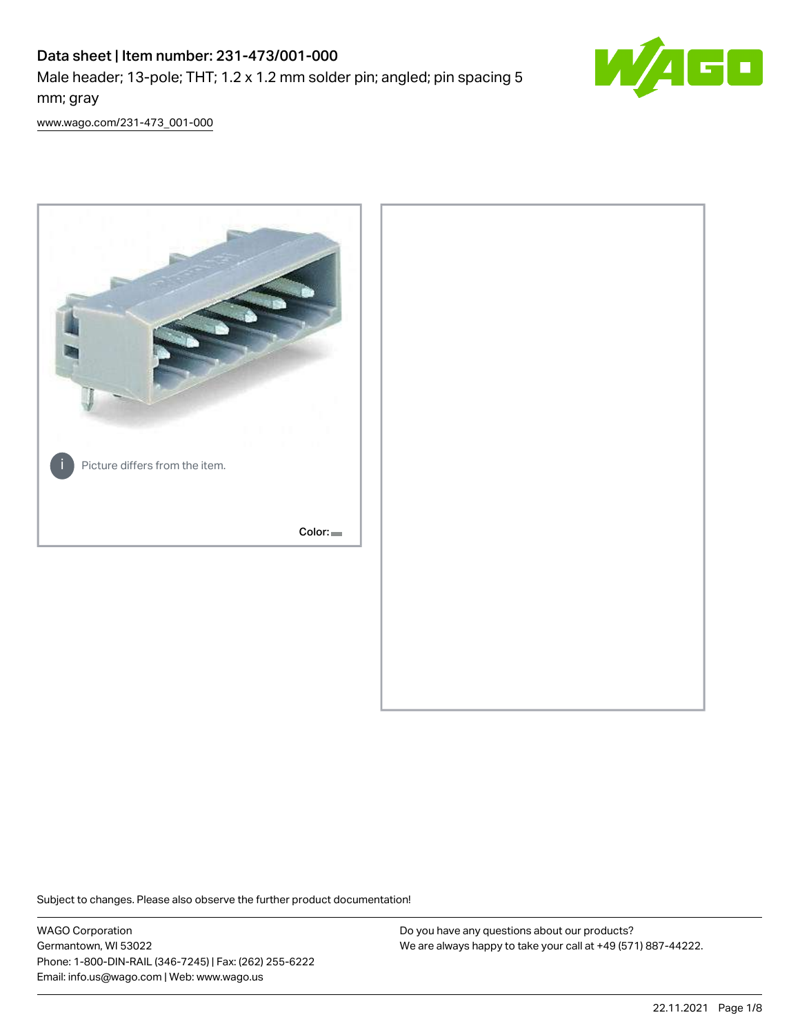# Data sheet | Item number: 231-473/001-000

Male header; 13-pole; THT; 1.2 x 1.2 mm solder pin; angled; pin spacing 5 mm; gray



[www.wago.com/231-473\\_001-000](http://www.wago.com/231-473_001-000)



Subject to changes. Please also observe the further product documentation!

WAGO Corporation Germantown, WI 53022 Phone: 1-800-DIN-RAIL (346-7245) | Fax: (262) 255-6222 Email: info.us@wago.com | Web: www.wago.us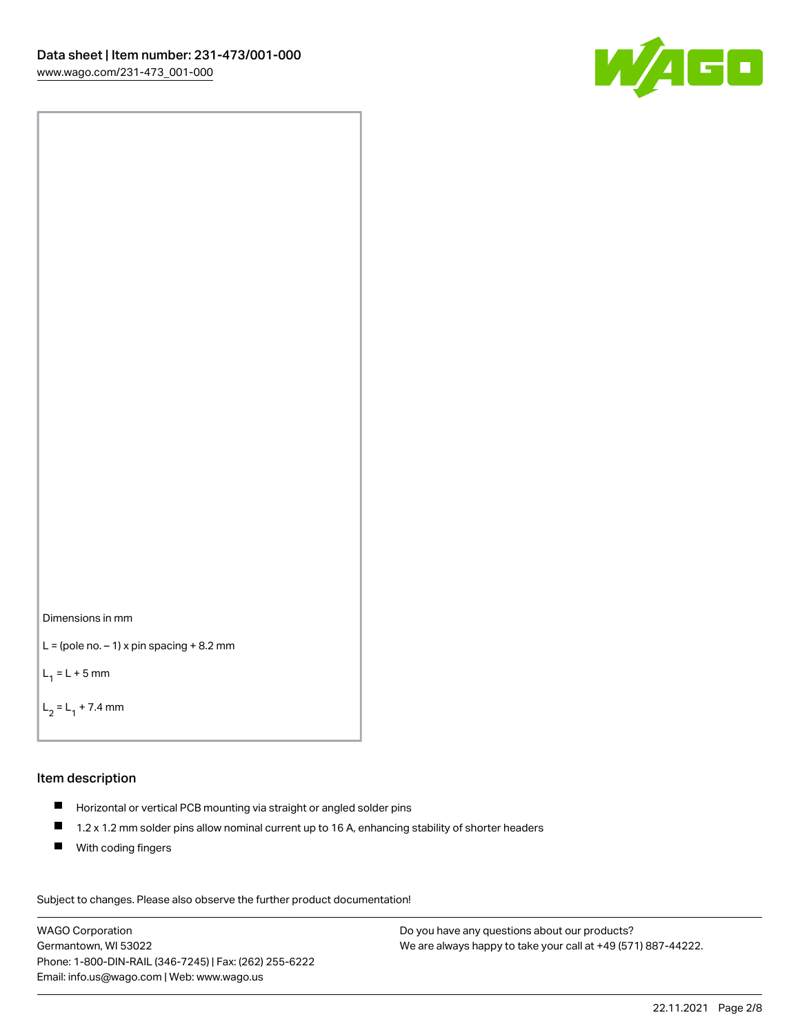



```
L = (pole no. -1) x pin spacing +8.2 mm
```
 $L_1 = L + 5$  mm

```
L_2 = L_1 + 7.4 mm
```
#### Item description

- Horizontal or vertical PCB mounting via straight or angled solder pins
- $\blacksquare$ 1.2 x 1.2 mm solder pins allow nominal current up to 16 A, enhancing stability of shorter headers
- **With coding fingers**

Subject to changes. Please also observe the further product documentation! Data

WAGO Corporation Germantown, WI 53022 Phone: 1-800-DIN-RAIL (346-7245) | Fax: (262) 255-6222 Email: info.us@wago.com | Web: www.wago.us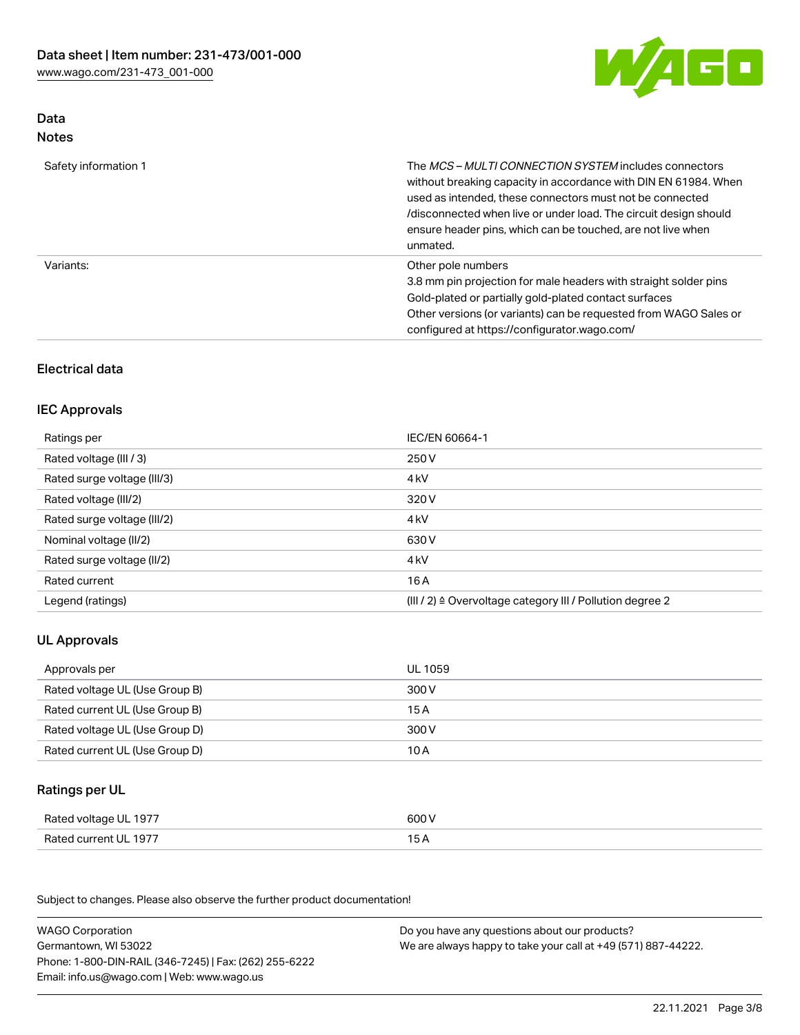

## Data Notes

| Safety information 1 | The <i>MCS – MULTI CONNECTION SYSTEM</i> includes connectors<br>without breaking capacity in accordance with DIN EN 61984. When<br>used as intended, these connectors must not be connected<br>/disconnected when live or under load. The circuit design should<br>ensure header pins, which can be touched, are not live when<br>unmated. |
|----------------------|--------------------------------------------------------------------------------------------------------------------------------------------------------------------------------------------------------------------------------------------------------------------------------------------------------------------------------------------|
| Variants:            | Other pole numbers<br>3.8 mm pin projection for male headers with straight solder pins<br>Gold-plated or partially gold-plated contact surfaces<br>Other versions (or variants) can be requested from WAGO Sales or<br>configured at https://configurator.wago.com/                                                                        |

## Electrical data

## IEC Approvals

| Ratings per                 | IEC/EN 60664-1                                                        |
|-----------------------------|-----------------------------------------------------------------------|
| Rated voltage (III / 3)     | 250 V                                                                 |
| Rated surge voltage (III/3) | 4 <sub>k</sub> V                                                      |
| Rated voltage (III/2)       | 320 V                                                                 |
| Rated surge voltage (III/2) | 4 <sub>kV</sub>                                                       |
| Nominal voltage (II/2)      | 630 V                                                                 |
| Rated surge voltage (II/2)  | 4 <sub>k</sub> V                                                      |
| Rated current               | 16A                                                                   |
| Legend (ratings)            | $(III / 2)$ $\triangle$ Overvoltage category III / Pollution degree 2 |

## UL Approvals

| Approvals per                  | UL 1059 |
|--------------------------------|---------|
| Rated voltage UL (Use Group B) | 300 V   |
| Rated current UL (Use Group B) | 15 A    |
| Rated voltage UL (Use Group D) | 300 V   |
| Rated current UL (Use Group D) | 10 A    |

### Ratings per UL

| Rated voltage UL 1977 | 600 V |
|-----------------------|-------|
| Rated current UL 1977 |       |

Subject to changes. Please also observe the further product documentation!

| <b>WAGO Corporation</b>                                | Do you have any questions about our products?                 |
|--------------------------------------------------------|---------------------------------------------------------------|
| Germantown, WI 53022                                   | We are always happy to take your call at +49 (571) 887-44222. |
| Phone: 1-800-DIN-RAIL (346-7245)   Fax: (262) 255-6222 |                                                               |
| Email: info.us@wago.com   Web: www.wago.us             |                                                               |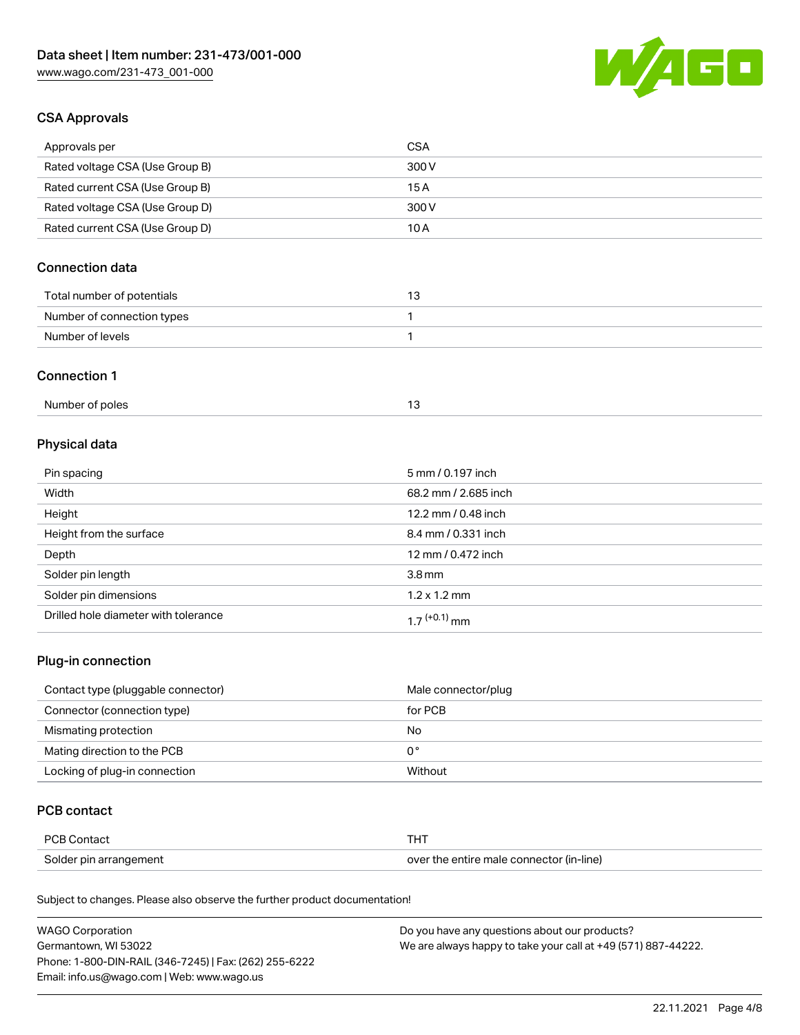

## CSA Approvals

| Approvals per                   | CSA   |
|---------------------------------|-------|
| Rated voltage CSA (Use Group B) | 300 V |
| Rated current CSA (Use Group B) | 15 A  |
| Rated voltage CSA (Use Group D) | 300 V |
| Rated current CSA (Use Group D) | 10 A  |

## Connection data

| Total number of potentials |  |
|----------------------------|--|
| Number of connection types |  |
| Number of levels           |  |

#### Connection 1

## Physical data

| Pin spacing                          | 5 mm / 0.197 inch    |
|--------------------------------------|----------------------|
| Width                                | 68.2 mm / 2.685 inch |
| Height                               | 12.2 mm / 0.48 inch  |
| Height from the surface              | 8.4 mm / 0.331 inch  |
| Depth                                | 12 mm / 0.472 inch   |
| Solder pin length                    | 3.8 <sub>mm</sub>    |
| Solder pin dimensions                | $1.2 \times 1.2$ mm  |
| Drilled hole diameter with tolerance | $17^{(+0.1)}$ mm     |

## Plug-in connection

| Contact type (pluggable connector) | Male connector/plug |
|------------------------------------|---------------------|
| Connector (connection type)        | for PCB             |
| Mismating protection               | No                  |
| Mating direction to the PCB        | 0°                  |
| Locking of plug-in connection      | Without             |

## PCB contact

| PCB Contact            |                                          |
|------------------------|------------------------------------------|
| Solder pin arrangement | over the entire male connector (in-line) |

Subject to changes. Please also observe the further product documentation!

| <b>WAGO Corporation</b>                                | Do you have any questions about our products?                 |
|--------------------------------------------------------|---------------------------------------------------------------|
| Germantown, WI 53022                                   | We are always happy to take your call at +49 (571) 887-44222. |
| Phone: 1-800-DIN-RAIL (346-7245)   Fax: (262) 255-6222 |                                                               |
| Email: info.us@wago.com   Web: www.wago.us             |                                                               |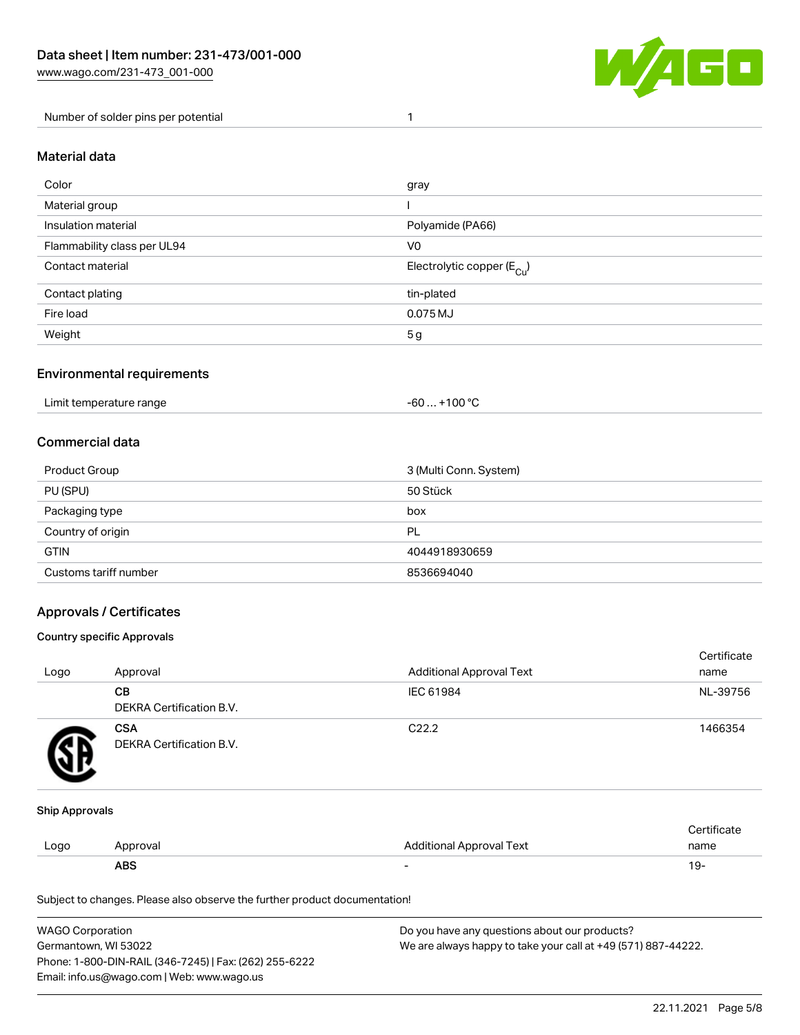

Number of solder pins per potential 1

#### Material data

| Color                       | gray                                  |
|-----------------------------|---------------------------------------|
| Material group              |                                       |
| Insulation material         | Polyamide (PA66)                      |
| Flammability class per UL94 | V <sub>0</sub>                        |
| Contact material            | Electrolytic copper $(E_{\text{Cl}})$ |
| Contact plating             | tin-plated                            |
| Fire load                   | 0.075 MJ                              |
| Weight                      | 5 <sub>g</sub>                        |

### Environmental requirements

Limit temperature range  $-60... +100$  °C

### Commercial data

| Product Group         | 3 (Multi Conn. System) |  |
|-----------------------|------------------------|--|
| PU (SPU)              | 50 Stück               |  |
| Packaging type        | box                    |  |
| Country of origin     | PL                     |  |
| <b>GTIN</b>           | 4044918930659          |  |
| Customs tariff number | 8536694040             |  |

### Approvals / Certificates

#### Country specific Approvals

| Logo | Approval                               | <b>Additional Approval Text</b> | Certificate<br>name |
|------|----------------------------------------|---------------------------------|---------------------|
|      | <b>CB</b><br>DEKRA Certification B.V.  | IEC 61984                       | NL-39756            |
|      | <b>CSA</b><br>DEKRA Certification B.V. | C <sub>22.2</sub>               | 1466354             |

#### Ship Approvals

|      | ABS      | -                        | -91                    |
|------|----------|--------------------------|------------------------|
| Logo | Approval | Additional Approval Text | name                   |
|      |          |                          | $\cdot$<br>ੋ°rtificate |

Subject to changes. Please also observe the further product documentation!

| WAGO Corporation                                       | Do you have any questions about our products?                 |
|--------------------------------------------------------|---------------------------------------------------------------|
| Germantown, WI 53022                                   | We are always happy to take your call at +49 (571) 887-44222. |
| Phone: 1-800-DIN-RAIL (346-7245)   Fax: (262) 255-6222 |                                                               |
| Email: info.us@wago.com   Web: www.wago.us             |                                                               |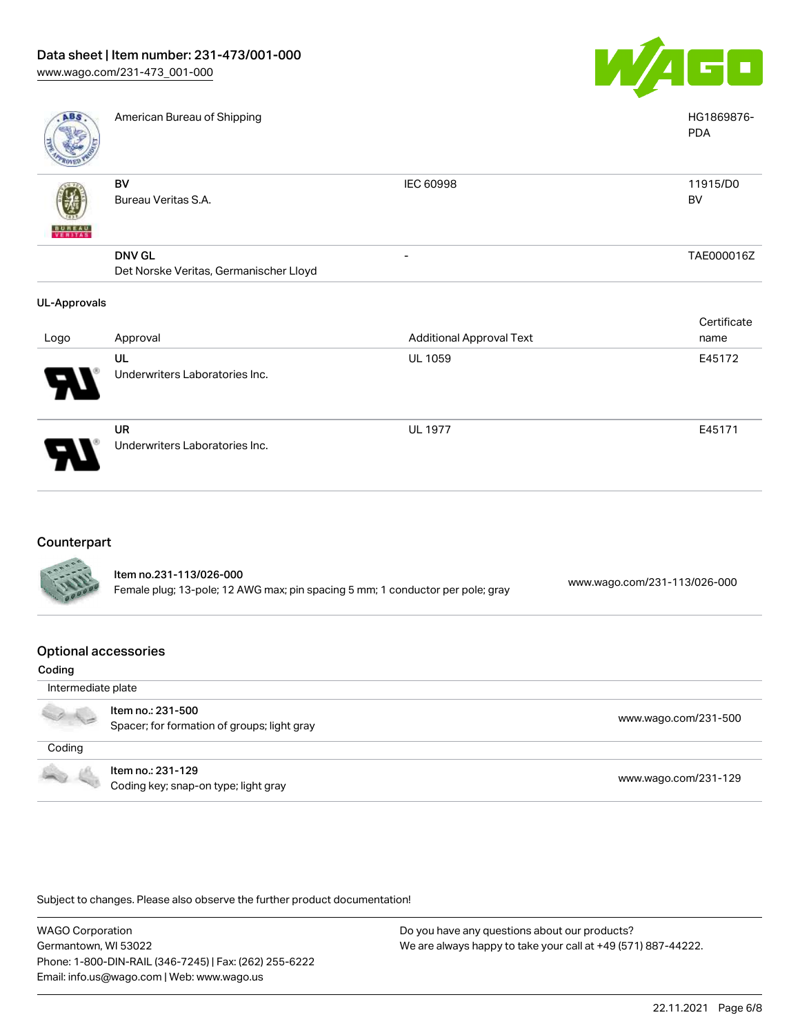

| <b>ABS</b>          | American Bureau of Shipping                             |                                 | HG1869876-<br><b>PDA</b> |
|---------------------|---------------------------------------------------------|---------------------------------|--------------------------|
|                     | BV<br>Bureau Veritas S.A.                               | <b>IEC 60998</b>                | 11915/D0<br>BV           |
| <b>BUREAU</b>       | <b>DNV GL</b><br>Det Norske Veritas, Germanischer Lloyd | -                               | TAE000016Z               |
| <b>UL-Approvals</b> |                                                         |                                 |                          |
| Logo                | Approval                                                | <b>Additional Approval Text</b> | Certificate<br>name      |
|                     | UL<br>Underwriters Laboratories Inc.                    | <b>UL 1059</b>                  | E45172                   |
|                     | <b>UR</b><br>Underwriters Laboratories Inc.             | <b>UL 1977</b>                  | E45171                   |

## **Counterpart**

773

| <b>CALLES</b> | Item no.231-113/026-000<br>Female plug; 13-pole; 12 AWG max; pin spacing 5 mm; 1 conductor per pole; gray | www.wago.com/231-113/026-000 |
|---------------|-----------------------------------------------------------------------------------------------------------|------------------------------|
|               |                                                                                                           |                              |

#### Optional accessories

| Coding             |                                                                  |                      |
|--------------------|------------------------------------------------------------------|----------------------|
| Intermediate plate |                                                                  |                      |
|                    | Item no.: 231-500<br>Spacer; for formation of groups; light gray | www.wago.com/231-500 |
| Coding             |                                                                  |                      |
|                    | Item no.: 231-129<br>Coding key; snap-on type; light gray        | www.wago.com/231-129 |

Subject to changes. Please also observe the further product documentation!

WAGO Corporation Germantown, WI 53022 Phone: 1-800-DIN-RAIL (346-7245) | Fax: (262) 255-6222 Email: info.us@wago.com | Web: www.wago.us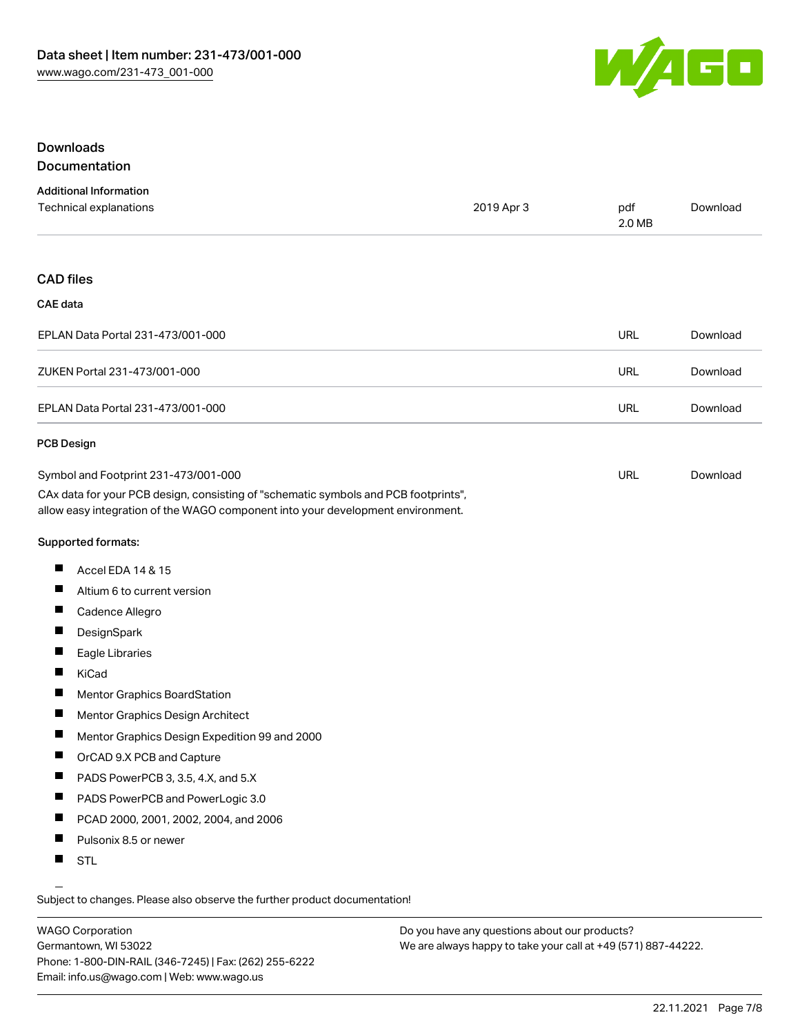

### Downloads Documentation

| <b>Additional Information</b> |            |        |          |
|-------------------------------|------------|--------|----------|
| Technical explanations        | 2019 Apr 3 | pdf    | Download |
|                               |            | 2.0 MB |          |

#### CAD files

#### CAE data

| EPLAN Data Portal 231-473/001-000 | URL | Download |
|-----------------------------------|-----|----------|
| ZUKEN Portal 231-473/001-000      | URL | Download |
| EPLAN Data Portal 231-473/001-000 | URL | Download |

#### PCB Design

| Symbol and Footprint 231-473/001-000                                                | URL | Download |
|-------------------------------------------------------------------------------------|-----|----------|
| CAx data for your PCB design, consisting of "schematic symbols and PCB footprints", |     |          |
| allow easy integration of the WAGO component into your development environment.     |     |          |

Supported formats:

- $\blacksquare$ Accel EDA 14 & 15
- $\blacksquare$ Altium 6 to current version
- $\blacksquare$ Cadence Allegro
- $\blacksquare$ **DesignSpark**
- П Eagle Libraries
- $\blacksquare$ KiCad
- $\blacksquare$ Mentor Graphics BoardStation
- $\blacksquare$ Mentor Graphics Design Architect
- $\blacksquare$ Mentor Graphics Design Expedition 99 and 2000
- $\blacksquare$ OrCAD 9.X PCB and Capture
- $\blacksquare$ PADS PowerPCB 3, 3.5, 4.X, and 5.X
- $\blacksquare$ PADS PowerPCB and PowerLogic 3.0
- $\blacksquare$ PCAD 2000, 2001, 2002, 2004, and 2006
- $\blacksquare$ Pulsonix 8.5 or newer
- $\blacksquare$ STL

Subject to changes. Please also observe the further product documentation!

WAGO Corporation Germantown, WI 53022 Phone: 1-800-DIN-RAIL (346-7245) | Fax: (262) 255-6222 Email: info.us@wago.com | Web: www.wago.us